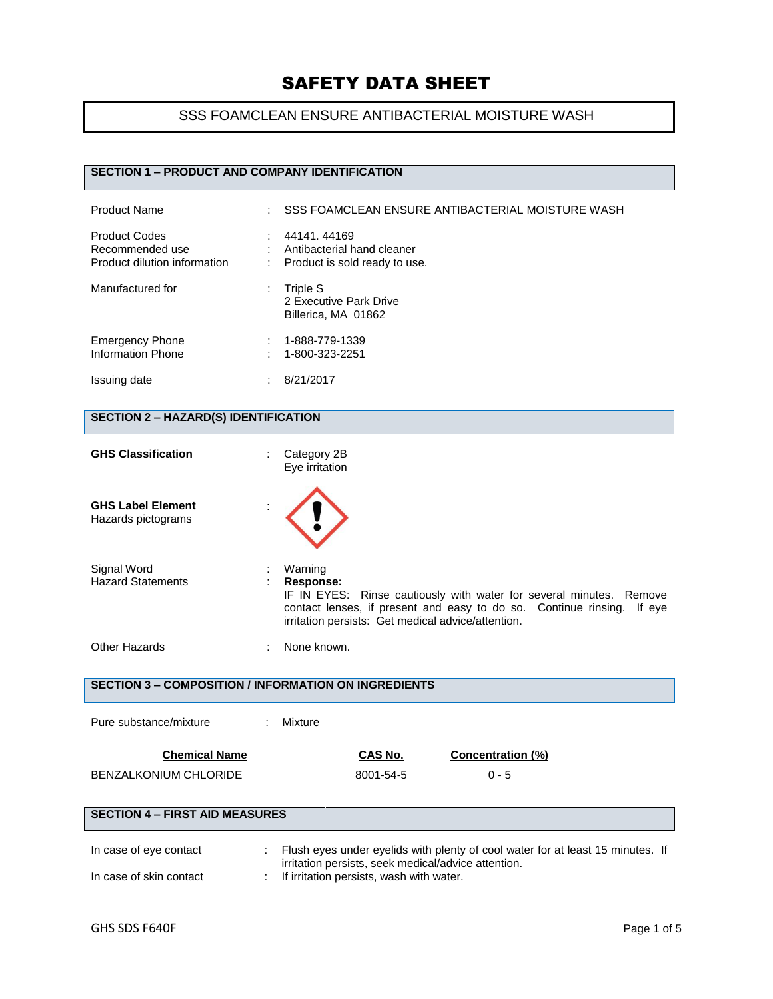## SSS FOAMCLEAN ENSURE ANTIBACTERIAL MOISTURE WASH

## **SECTION 1 – PRODUCT AND COMPANY IDENTIFICATION**

| <b>Product Name</b>                                                     | SSS FOAMCLEAN ENSURE ANTIBACTERIAL MOISTURE WASH                            |
|-------------------------------------------------------------------------|-----------------------------------------------------------------------------|
| <b>Product Codes</b><br>Recommended use<br>Product dilution information | 44141, 44169<br>Antibacterial hand cleaner<br>Product is sold ready to use. |
| Manufactured for                                                        | Triple S<br>2 Executive Park Drive<br>Billerica, MA 01862                   |
| <b>Emergency Phone</b><br>Information Phone                             | 1-888-779-1339<br>1-800-323-2251                                            |
| Issuing date                                                            | 8/21/2017                                                                   |

## **SECTION 2 – HAZARD(S) IDENTIFICATION**

| <b>GHS Classification</b>                      | Category 2B<br>Eye irritation                                                                                                                                                                                               |
|------------------------------------------------|-----------------------------------------------------------------------------------------------------------------------------------------------------------------------------------------------------------------------------|
| <b>GHS Label Element</b><br>Hazards pictograms |                                                                                                                                                                                                                             |
| Signal Word<br><b>Hazard Statements</b>        | Warning<br>Response:<br>IF IN EYES: Rinse cautiously with water for several minutes. Remove<br>contact lenses, if present and easy to do so. Continue rinsing. If eye<br>irritation persists: Get medical advice/attention. |
| <b>Other Hazards</b>                           | None known.                                                                                                                                                                                                                 |

**SECTION 3 – COMPOSITION / INFORMATION ON INGREDIENTS**

| Pure substance/mixture                |  | Mixture                                  |                                                     |                          |                                                                                |
|---------------------------------------|--|------------------------------------------|-----------------------------------------------------|--------------------------|--------------------------------------------------------------------------------|
| <b>Chemical Name</b>                  |  |                                          | CAS No.                                             | <b>Concentration (%)</b> |                                                                                |
| BENZALKONIUM CHLORIDE                 |  |                                          | 8001-54-5                                           | $0 - 5$                  |                                                                                |
|                                       |  |                                          |                                                     |                          |                                                                                |
| <b>SECTION 4 - FIRST AID MEASURES</b> |  |                                          |                                                     |                          |                                                                                |
| In case of eye contact                |  |                                          | irritation persists, seek medical/advice attention. |                          | Flush eyes under eyelids with plenty of cool water for at least 15 minutes. If |
| In case of skin contact               |  | If irritation persists, wash with water. |                                                     |                          |                                                                                |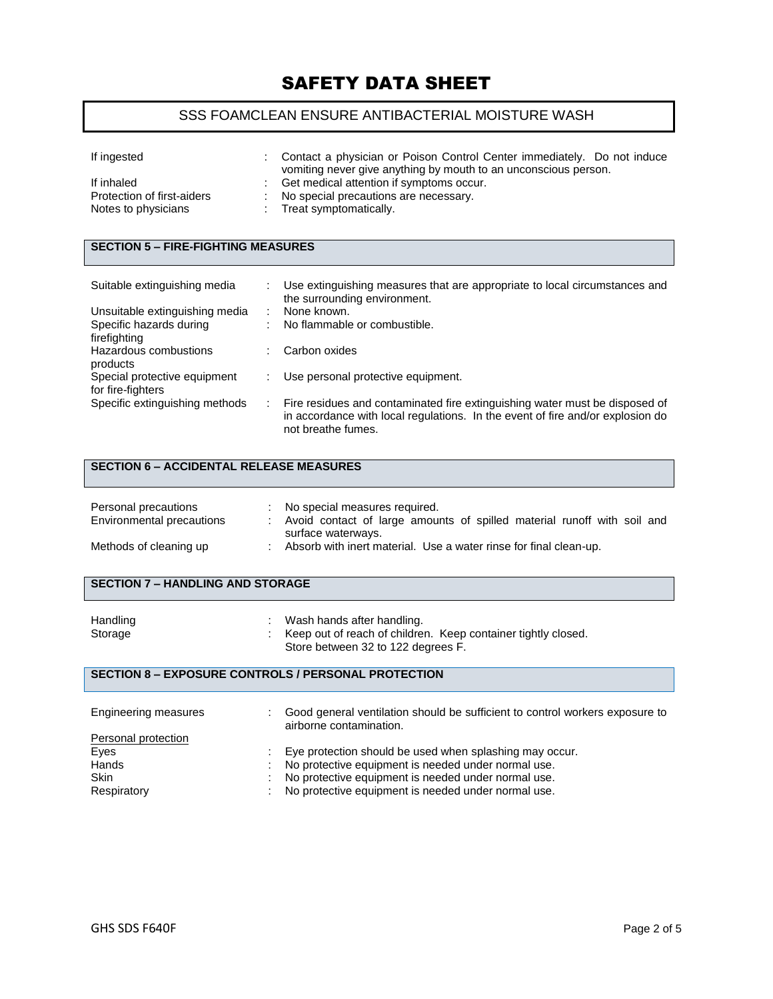## SSS FOAMCLEAN ENSURE ANTIBACTERIAL MOISTURE WASH

| If ingested                                                     | Contact a physician or Poison Control Center immediately. Do not induce<br>vomiting never give anything by mouth to an unconscious person. |
|-----------------------------------------------------------------|--------------------------------------------------------------------------------------------------------------------------------------------|
| If inhaled<br>Protection of first-aiders<br>Notes to physicians | Get medical attention if symptoms occur.<br>No special precautions are necessary.<br>: Treat symptomatically.                              |

## **SECTION 5 – FIRE-FIGHTING MEASURES**

| Suitable extinguishing media   | Use extinguishing measures that are appropriate to local circumstances and<br>the surrounding environment.                                                                          |
|--------------------------------|-------------------------------------------------------------------------------------------------------------------------------------------------------------------------------------|
| Unsuitable extinguishing media | None known.                                                                                                                                                                         |
| Specific hazards during        | No flammable or combustible.                                                                                                                                                        |
| firefighting                   |                                                                                                                                                                                     |
| Hazardous combustions          | Carbon oxides                                                                                                                                                                       |
| products                       |                                                                                                                                                                                     |
| Special protective equipment   | Use personal protective equipment.                                                                                                                                                  |
| for fire-fighters              |                                                                                                                                                                                     |
| Specific extinguishing methods | Fire residues and contaminated fire extinguishing water must be disposed of<br>in accordance with local regulations. In the event of fire and/or explosion do<br>not breathe fumes. |

## **SECTION 6 – ACCIDENTAL RELEASE MEASURES**

| Personal precautions<br>Environmental precautions | No special measures required.<br>Avoid contact of large amounts of spilled material runoff with soil and<br>surface waterways. |
|---------------------------------------------------|--------------------------------------------------------------------------------------------------------------------------------|
| Methods of cleaning up                            | Absorb with inert material. Use a water rinse for final clean-up.                                                              |

### **SECTION 7 – HANDLING AND STORAGE**

| Handling | Wash hands after handling.                                    |
|----------|---------------------------------------------------------------|
| Storage  | Keep out of reach of children. Keep container tightly closed. |
|          | Store between 32 to 122 degrees F.                            |

### **SECTION 8 – EXPOSURE CONTROLS / PERSONAL PROTECTION**

| Engineering measures |   | Good general ventilation should be sufficient to control workers exposure to<br>airborne contamination. |
|----------------------|---|---------------------------------------------------------------------------------------------------------|
| Personal protection  |   |                                                                                                         |
| Eyes                 |   | Eye protection should be used when splashing may occur.                                                 |
| Hands                |   | No protective equipment is needed under normal use.                                                     |
| <b>Skin</b>          | ÷ | No protective equipment is needed under normal use.                                                     |
| Respiratory          |   | No protective equipment is needed under normal use.                                                     |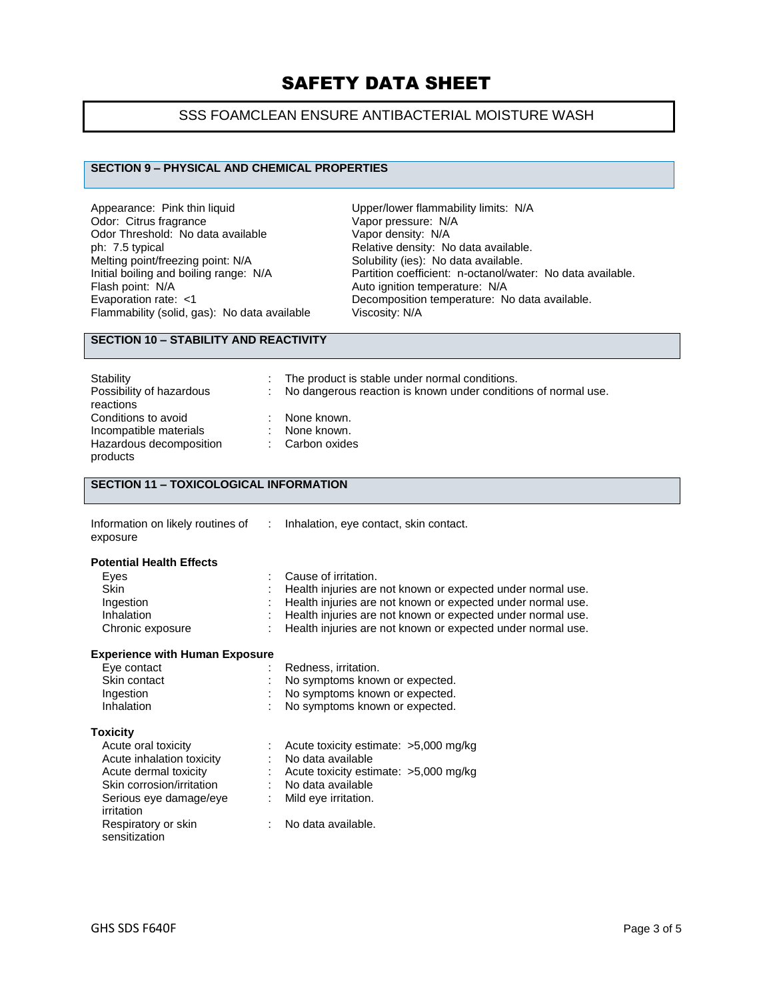## SSS FOAMCLEAN ENSURE ANTIBACTERIAL MOISTURE WASH

### **SECTION 9 – PHYSICAL AND CHEMICAL PROPERTIES**

Appearance: Pink thin liquid<br>
Odor: Citrus fragrance<br>
Vapor pressure: N/A Odor: Citrus fragrance Vapor pressure: N/<br>Odor Threshold: No data available Vapor density: N/A Odor Threshold: No data available<br>ph: 7.5 typical ph: 7.5 typical ph: 7.5 typical ph: 7.5 typical controller Relative density: No data available.<br>
Melting point/freezing point: N/A Solubility (ies): No data available. Melting point/freezing point: N/A Solubility (ies): No data available.<br>
Initial boiling and boiling range: N/A Partition coefficient: n-octanol/wat Flash point: N/A<br>
Evaporation rate: <1 Channel Autority Decomposition temperature: N<br>
Decomposition temperature: N Flammability (solid, gas): No data available

Initial boiling and boiling range: N/A Partition coefficient: n-octanol/water: No data available.<br>Flash point: N/A Auto ignition temperature: N/A Decomposition temperature: No data available.<br>Viscosity: N/A

### **SECTION 10 – STABILITY AND REACTIVITY**

| Stability<br>Possibility of hazardous<br>reactions | The product is stable under normal conditions.<br>: No dangerous reaction is known under conditions of normal use. |
|----------------------------------------------------|--------------------------------------------------------------------------------------------------------------------|
| Conditions to avoid<br>Incompatible materials      | None known.<br>: None known.                                                                                       |
| Hazardous decomposition<br>products                | : Carbon oxides                                                                                                    |

### **SECTION 11 – TOXICOLOGICAL INFORMATION**

| Information on likely routines of |  |
|-----------------------------------|--|
| exposure                          |  |

#### : Inhalation, eye contact, skin contact.

#### **Potential Health Effects**

| : Cause of irritation.                                        |
|---------------------------------------------------------------|
| : Health injuries are not known or expected under normal use. |
| : Health injuries are not known or expected under normal use. |
| : Health injuries are not known or expected under normal use. |
| : Health injuries are not known or expected under normal use. |
|                                                               |

#### **Experience with Human Exposure**

| Eye contact  | : Redness, irritation.           |
|--------------|----------------------------------|
| Skin contact | : No symptoms known or expected. |
| Ingestion    | : No symptoms known or expected. |
| Inhalation   | : No symptoms known or expected. |

#### **Toxicity**

| Acute oral toxicity                  | : Acute toxicity estimate: $>5,000$ mg/kg |
|--------------------------------------|-------------------------------------------|
| Acute inhalation toxicity            | : No data available                       |
| Acute dermal toxicity                | : Acute toxicity estimate: $>5,000$ mg/kg |
| Skin corrosion/irritation            | No data available                         |
| Serious eye damage/eye<br>irritation | : Mild eye irritation.                    |
| Respiratory or skin<br>sensitization | : No data available.                      |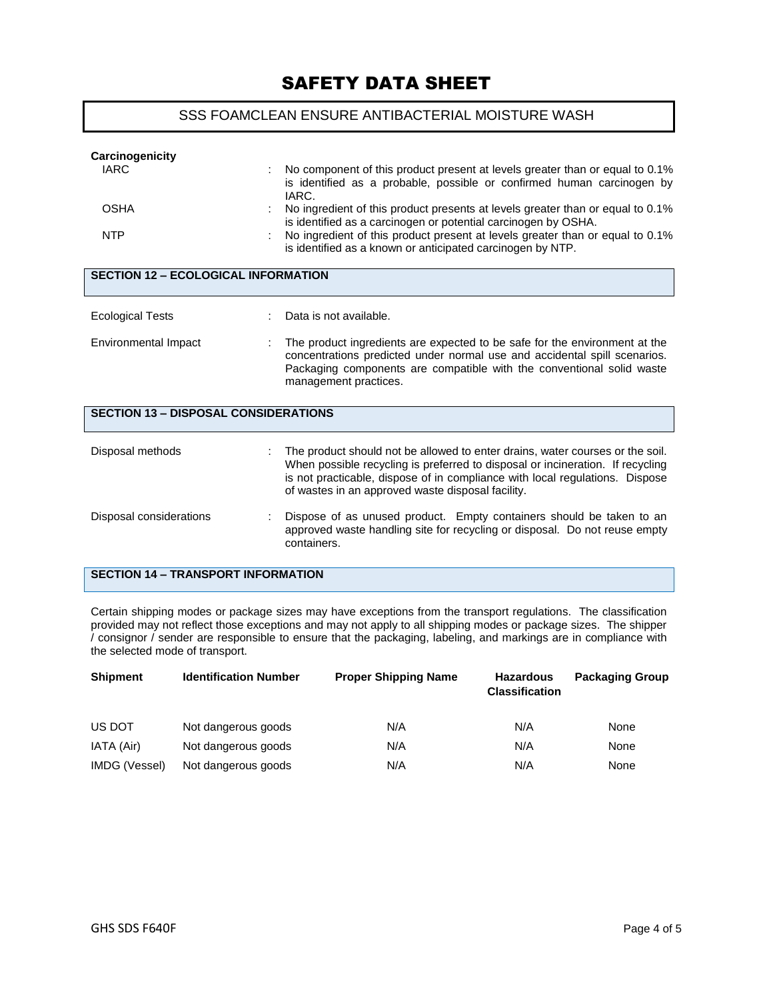## SSS FOAMCLEAN ENSURE ANTIBACTERIAL MOISTURE WASH

| Carcinogenicity<br><b>IARC</b>              | No component of this product present at levels greater than or equal to 0.1%<br>is identified as a probable, possible or confirmed human carcinogen by<br>IARC.                                                                                                                                      |  |  |  |  |
|---------------------------------------------|------------------------------------------------------------------------------------------------------------------------------------------------------------------------------------------------------------------------------------------------------------------------------------------------------|--|--|--|--|
| <b>OSHA</b>                                 | No ingredient of this product presents at levels greater than or equal to 0.1%<br>is identified as a carcinogen or potential carcinogen by OSHA.                                                                                                                                                     |  |  |  |  |
| <b>NTP</b>                                  | No ingredient of this product present at levels greater than or equal to 0.1%<br>is identified as a known or anticipated carcinogen by NTP.                                                                                                                                                          |  |  |  |  |
| <b>SECTION 12 - ECOLOGICAL INFORMATION</b>  |                                                                                                                                                                                                                                                                                                      |  |  |  |  |
| <b>Ecological Tests</b>                     | Data is not available.                                                                                                                                                                                                                                                                               |  |  |  |  |
| Environmental Impact                        | The product ingredients are expected to be safe for the environment at the<br>concentrations predicted under normal use and accidental spill scenarios.<br>Packaging components are compatible with the conventional solid waste<br>management practices.                                            |  |  |  |  |
| <b>SECTION 13 - DISPOSAL CONSIDERATIONS</b> |                                                                                                                                                                                                                                                                                                      |  |  |  |  |
| Disposal methods                            | The product should not be allowed to enter drains, water courses or the soil.<br>When possible recycling is preferred to disposal or incineration. If recycling<br>is not practicable, dispose of in compliance with local regulations. Dispose<br>of wastes in an approved waste disposal facility. |  |  |  |  |
| Disposal considerations                     | Dispose of as unused product. Empty containers should be taken to an<br>approved waste handling site for recycling or disposal. Do not reuse empty<br>containers.                                                                                                                                    |  |  |  |  |
| <b>SECTION 14 - TRANSPORT INFORMATION</b>   |                                                                                                                                                                                                                                                                                                      |  |  |  |  |

Certain shipping modes or package sizes may have exceptions from the transport regulations. The classification provided may not reflect those exceptions and may not apply to all shipping modes or package sizes. The shipper / consignor / sender are responsible to ensure that the packaging, labeling, and markings are in compliance with the selected mode of transport.

| <b>Shipment</b> | <b>Identification Number</b> | <b>Proper Shipping Name</b> | <b>Hazardous</b><br><b>Classification</b> | <b>Packaging Group</b> |
|-----------------|------------------------------|-----------------------------|-------------------------------------------|------------------------|
| US DOT          | Not dangerous goods          | N/A                         | N/A                                       | None                   |
| IATA (Air)      | Not dangerous goods          | N/A                         | N/A                                       | None                   |
| IMDG (Vessel)   | Not dangerous goods          | N/A                         | N/A                                       | None                   |